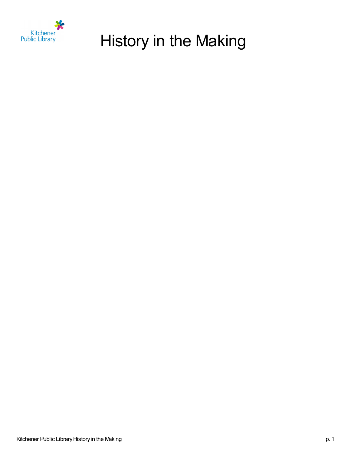

# History in the Making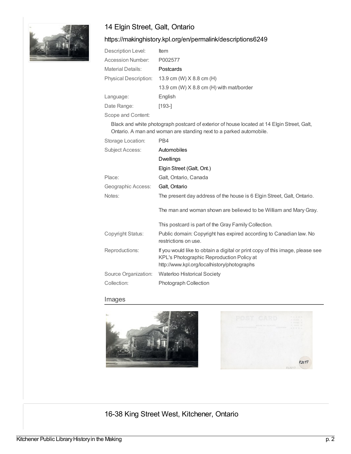

# 14 Elgin Street, Galt, Ontario

#### <https://makinghistory.kpl.org/en/permalink/descriptions6249>

| Description Level:           | <b>Item</b>                              |
|------------------------------|------------------------------------------|
| Accession Number:            | P002577                                  |
| Material Details:            | Postcards                                |
| <b>Physical Description:</b> | 13.9 cm (W) $X$ 8.8 cm (H)               |
|                              | 13.9 cm (W) X 8.8 cm (H) with mat/border |
| Language:                    | English                                  |
| Date Range:                  | [193-]                                   |
| Scope and Content:           |                                          |

Black and white photograph postcard of exterior of house located at 14 Elgin Street, Galt, Ontario. A man and woman are standing next to a parked automobile.

| Storage Location:    | PB4                                                                                                                                                                       |
|----------------------|---------------------------------------------------------------------------------------------------------------------------------------------------------------------------|
| Subject Access:      | Automobiles                                                                                                                                                               |
|                      | Dwellings                                                                                                                                                                 |
|                      | Elgin Street (Galt, Ont.)                                                                                                                                                 |
| Place:               | Galt, Ontario, Canada                                                                                                                                                     |
| Geographic Access:   | Galt, Ontario                                                                                                                                                             |
| Notes:               | The present day address of the house is 6 Elgin Street, Galt, Ontario.                                                                                                    |
|                      | The man and woman shown are believed to be William and Mary Gray.                                                                                                         |
|                      | This postcard is part of the Gray Family Collection.                                                                                                                      |
| Copyright Status:    | Public domain: Copyright has expired according to Canadian law. No<br>restrictions on use.                                                                                |
| Reproductions:       | If you would like to obtain a digital or print copy of this image, please see<br>KPL's Photographic Reproduction Policy at<br>http://www.kpl.org/localhistory/photographs |
| Source Organization: | <b>Waterloo Historical Society</b>                                                                                                                                        |
| Collection:          | <b>Photograph Collection</b>                                                                                                                                              |

#### Images



 $P2577$ 

16-38 King Street West, Kitchener, Ontario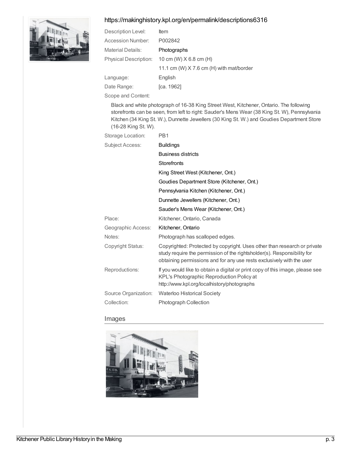#### <https://makinghistory.kpl.org/en/permalink/descriptions6316>



| Description Level:           | <b>Item</b>                              |
|------------------------------|------------------------------------------|
| Accession Number:            | P002842                                  |
| Material Details:            | Photographs                              |
| <b>Physical Description:</b> | 10 cm (W) $X$ 6.8 cm (H)                 |
|                              | 11.1 cm (W) X 7.6 cm (H) with mat/border |
| Language:                    | English                                  |
| Date Range:                  | [ca. 1962]                               |
|                              |                                          |

Scope and Content:

Black and white photograph of 16-38 King Street West, Kitchener, Ontario. The following storefronts can be seen, from left to right: Sauder's Mens Wear (38 King St. W), Pennsylvania Kitchen (34 King St. W.), Dunnette Jewellers (30 King St. W.) and Goudies Department Store (16-28 King St. W).

| Storage Location:      | PB <sub>1</sub>                                                                                                                                                                                                              |
|------------------------|------------------------------------------------------------------------------------------------------------------------------------------------------------------------------------------------------------------------------|
| <b>Subject Access:</b> | <b>Buildings</b>                                                                                                                                                                                                             |
|                        | <b>Business districts</b>                                                                                                                                                                                                    |
|                        | <b>Storefronts</b>                                                                                                                                                                                                           |
|                        | King Street West (Kitchener, Ont.)                                                                                                                                                                                           |
|                        | Goudies Department Store (Kitchener, Ont.)                                                                                                                                                                                   |
|                        | Pennsylvania Kitchen (Kitchener, Ont.)                                                                                                                                                                                       |
|                        | Dunnette Jewellers (Kitchener, Ont.)                                                                                                                                                                                         |
|                        | Sauder's Mens Wear (Kitchener, Ont.)                                                                                                                                                                                         |
| Place:                 | Kitchener, Ontario, Canada                                                                                                                                                                                                   |
| Geographic Access:     | Kitchener, Ontario                                                                                                                                                                                                           |
| Notes:                 | Photograph has scalloped edges.                                                                                                                                                                                              |
| Copyright Status:      | Copyrighted: Protected by copyright. Uses other than research or private<br>study require the permission of the rightsholder(s). Responsibility for<br>obtaining permissions and for any use rests exclusively with the user |
| Reproductions:         | If you would like to obtain a digital or print copy of this image, please see<br>KPL's Photographic Reproduction Policy at<br>http://www.kpl.org/localhistory/photographs                                                    |
| Source Organization:   | <b>Waterloo Historical Society</b>                                                                                                                                                                                           |
| Collection:            | <b>Photograph Collection</b>                                                                                                                                                                                                 |
|                        |                                                                                                                                                                                                                              |

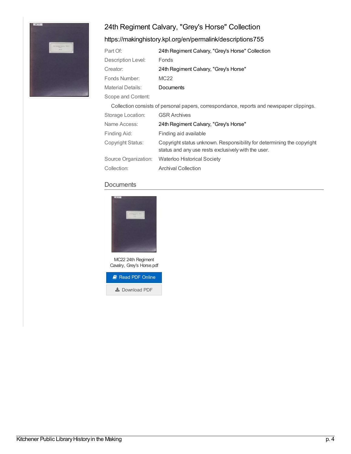# 24th Regiment Calvary, "Grey's Horse" Collection



# <https://makinghistory.kpl.org/en/permalink/descriptions755>

| Part Of:           | 24th Regiment Calvary, "Grey's Horse" Collection |
|--------------------|--------------------------------------------------|
| Description Level: | Fonds                                            |
| Creator:           | 24th Regiment Calvary, "Grey's Horse"            |
| Fonds Number:      | MC <sub>22</sub>                                 |
| Material Details:  | Documents                                        |
| Scope and Content: |                                                  |

|                      | Collection consists of personal papers, correspondance, reports and newspaper clippings.                                      |
|----------------------|-------------------------------------------------------------------------------------------------------------------------------|
| Storage Location:    | <b>GSR Archives</b>                                                                                                           |
| Name Access:         | 24th Regiment Calvary, "Grey's Horse"                                                                                         |
| Finding Aid:         | Finding aid available                                                                                                         |
| Copyright Status:    | Copyright status unknown. Responsibility for determining the copyright<br>status and any use rests exclusively with the user. |
| Source Organization: | <b>Waterloo Historical Society</b>                                                                                            |
| Collection:          | <b>Archival Collection</b>                                                                                                    |
|                      |                                                                                                                               |

#### **Documents**



MC22 24th Regiment Cavalry, Grey's Horse.pdf

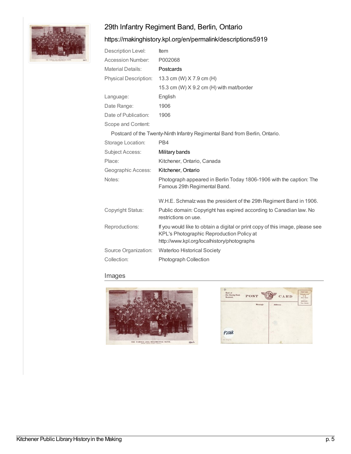# 29th Infantry Regiment Band, Berlin, Ontario



# <https://makinghistory.kpl.org/en/permalink/descriptions5919>

| Description Level:       | ltem                                                                                                                                                                      |
|--------------------------|---------------------------------------------------------------------------------------------------------------------------------------------------------------------------|
| <b>Accession Number:</b> | P002068                                                                                                                                                                   |
| <b>Material Details:</b> | Postcards                                                                                                                                                                 |
| Physical Description:    | 13.3 cm (W) X 7.9 cm (H)                                                                                                                                                  |
|                          | 15.3 cm (W) $X$ 9.2 cm (H) with mat/border                                                                                                                                |
| Language:                | English                                                                                                                                                                   |
| Date Range:              | 1906                                                                                                                                                                      |
| Date of Publication:     | 1906                                                                                                                                                                      |
| Scope and Content:       |                                                                                                                                                                           |
|                          | Postcard of the Twenty-Ninth Infantry Regimental Band from Berlin, Ontario.                                                                                               |
| Storage Location:        | PB4                                                                                                                                                                       |
| <b>Subject Access:</b>   | Military bands                                                                                                                                                            |
| Place:                   | Kitchener, Ontario, Canada                                                                                                                                                |
|                          |                                                                                                                                                                           |
| Geographic Access:       | Kitchener, Ontario                                                                                                                                                        |
| Notes:                   | Photograph appeared in Berlin Today 1806-1906 with the caption: The<br>Famous 29th Regimental Band.                                                                       |
|                          | W.H.E. Schmalz was the president of the 29th Regiment Band in 1906.                                                                                                       |
| Copyright Status:        | Public domain: Copyright has expired according to Canadian law. No<br>restrictions on use.                                                                                |
| Reproductions:           | If you would like to obtain a digital or print copy of this image, please see<br>KPL's Photographic Reproduction Policy at<br>http://www.kpl.org/localhistory/photographs |
| Source Organization:     | Waterloo Historical Society                                                                                                                                               |



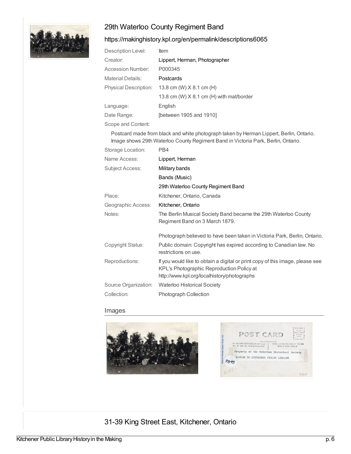# 29th Waterloo County Regiment Band

### <https://makinghistory.kpl.org/en/permalink/descriptions6065>

| Description Level:           | Item                                     |
|------------------------------|------------------------------------------|
| Creator:                     | Lippert, Herman, Photographer            |
| Accession Number:            | P000345                                  |
| Material Details:            | Postcards                                |
| <b>Physical Description:</b> | 13.8 cm (W) X 8.1 cm (H)                 |
|                              | 13.8 cm (W) X 8.1 cm (H) with mat/border |
| Language:                    | English                                  |
| Date Range:                  | [between 1905 and 1910]                  |
| Scope and Content:           |                                          |

Postcard made from black and white photograph taken by Herman Lippert, Berlin, Ontario. Image shows 29th Waterloo County Regiment Band in Victoria Park, Berlin, Ontario.

| Storage Location:    | PB4                                                                                                                                                                       |
|----------------------|---------------------------------------------------------------------------------------------------------------------------------------------------------------------------|
| Name Access:         | Lippert, Herman                                                                                                                                                           |
| Subject Access:      | Military bands                                                                                                                                                            |
|                      | Bands (Music)                                                                                                                                                             |
|                      | 29th Waterloo County Regiment Band                                                                                                                                        |
| Place:               | Kitchener, Ontario, Canada                                                                                                                                                |
| Geographic Access:   | Kitchener, Ontario                                                                                                                                                        |
| Notes:               | The Berlin Musical Society Band became the 29th Waterloo County<br>Regiment Band on 3 March 1879.                                                                         |
|                      | Photograph believed to have been taken in Victoria Park, Berlin, Ontario.                                                                                                 |
| Copyright Status:    | Public domain: Copyright has expired according to Canadian law. No<br>restrictions on use.                                                                                |
| Reproductions:       | If you would like to obtain a digital or print copy of this image, please see<br>KPL's Photographic Reproduction Policy at<br>http://www.kpl.org/localhistory/photographs |
| Source Organization: | <b>Waterloo Historical Society</b>                                                                                                                                        |
| Collection:          | <b>Photograph Collection</b>                                                                                                                                              |
|                      |                                                                                                                                                                           |

#### Images





# 31-39 King Street East, Kitchener, Ontario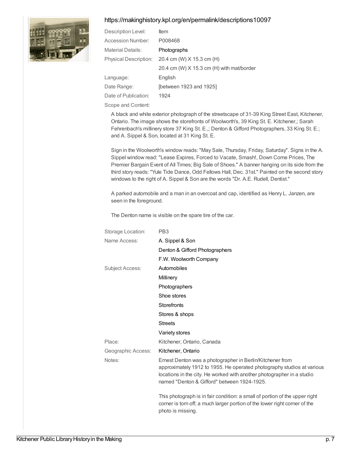#### <https://makinghistory.kpl.org/en/permalink/descriptions10097>



| Description Level:           | ltem                                      |
|------------------------------|-------------------------------------------|
| Accession Number:            | P008468                                   |
| Material Details:            | Photographs                               |
| <b>Physical Description:</b> | 20.4 cm (W) X 15.3 cm (H)                 |
|                              | 20.4 cm (W) X 15.3 cm (H) with mat/border |
| Language:                    | English                                   |
| Date Range:                  | [between 1923 and 1925]                   |
| Date of Publication:         | 1924                                      |
|                              |                                           |

Scope and Content:

A black and white exterior photograph of the streetscape of 31-39 King Street East, Kitchener, Ontario. The image shows the storefronts of Woolworth's, 39 King St. E. Kitchener,; Sarah Fehrenbach's millinery store 37 King St. E.,; Denton & Gifford Photographers, 33 King St. E.; and A. Sippel & Son, located at 31 King St. E.

Sign in the Woolworth's window reads: "May Sale, Thursday, Friday, Saturday". Signs in the A. Sippel window read: "Lease Expires, Forced to Vacate, Smash!, Down Come Prices, The Premier Bargain Event of All Times; Big Sale of Shoes." A banner hanging on its side from the third story reads: "Yule Tide Dance, Odd Fellows Hall, Dec. 31st." Painted on the second story windows to the right of A. Sippel & Son are the words "Dr. A.E. Rudell, Dentist."

A parked automobile and a man in an overcoat and cap, identified as Henry L. Janzen, are seen in the foreground.

The Denton name is visible on the spare tire of the car.

| Storage Location:      | PB <sub>3</sub>                                                                                                                                                                                                                                              |
|------------------------|--------------------------------------------------------------------------------------------------------------------------------------------------------------------------------------------------------------------------------------------------------------|
| Name Access:           | A. Sippel & Son                                                                                                                                                                                                                                              |
|                        | Denton & Gifford Photographers                                                                                                                                                                                                                               |
|                        | F.W. Woolworth Company                                                                                                                                                                                                                                       |
| <b>Subject Access:</b> | Automobiles                                                                                                                                                                                                                                                  |
|                        | Millinery                                                                                                                                                                                                                                                    |
|                        | Photographers                                                                                                                                                                                                                                                |
|                        | Shoe stores                                                                                                                                                                                                                                                  |
|                        | <b>Storefronts</b>                                                                                                                                                                                                                                           |
|                        | Stores & shops                                                                                                                                                                                                                                               |
|                        | <b>Streets</b>                                                                                                                                                                                                                                               |
|                        | Variety stores                                                                                                                                                                                                                                               |
| Place:                 | Kitchener, Ontario, Canada                                                                                                                                                                                                                                   |
| Geographic Access:     | Kitchener, Ontario                                                                                                                                                                                                                                           |
| Notes:                 | Ernest Denton was a photographer in Berlin/Kitchener from<br>approximately 1912 to 1955. He operated photography studios at various<br>locations in the city. He worked with another photographer in a studio<br>named "Denton & Gifford" between 1924-1925. |
|                        | This photograph is in fair condition: a small of portion of the upper right<br>corner is torn off; a much larger portion of the lower right corner of the<br>photo is missing.                                                                               |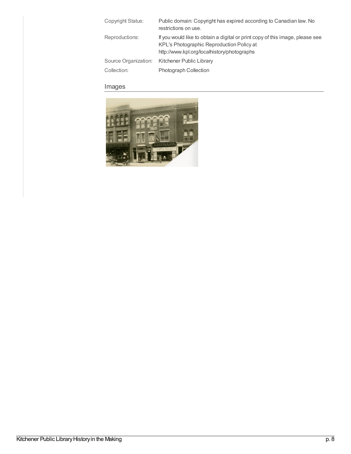| Copyright Status:                   | Public domain: Copyright has expired according to Canadian law. No<br>restrictions on use.                                                                                |
|-------------------------------------|---------------------------------------------------------------------------------------------------------------------------------------------------------------------------|
| Reproductions:                      | If you would like to obtain a digital or print copy of this image, please see<br>KPL's Photographic Reproduction Policy at<br>http://www.kpl.org/localhistory/photographs |
| Source Organization:<br>Collection: | Kitchener Public Library<br><b>Photograph Collection</b>                                                                                                                  |

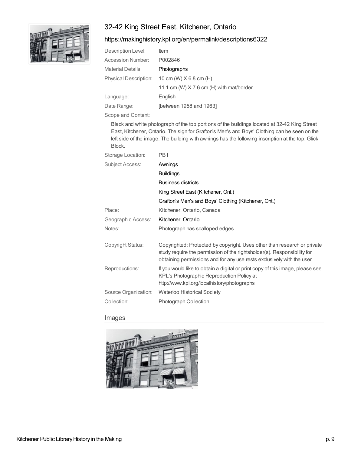# 32-42 King Street East, Kitchener, Ontario



#### <https://makinghistory.kpl.org/en/permalink/descriptions6322>

| Description Level:           | ltem                                       |
|------------------------------|--------------------------------------------|
| Accession Number:            | P002846                                    |
| Material Details:            | Photographs                                |
| <b>Physical Description:</b> | 10 cm (W) $X$ 6.8 cm (H)                   |
|                              | 11.1 cm (W) $X$ 7.6 cm (H) with mat/border |
| Language:                    | English                                    |
| Date Range:                  | [between 1958 and 1963]                    |
| Scope and Content:           |                                            |

Black and white photograph of the top portions of the buildings located at 32-42 King Street East, Kitchener, Ontario. The sign for Grafton's Men's and Boys' Clothing can be seen on the left side of the image. The building with awnings has the following inscription at the top: Glick Block.

| Storage Location:      | PB <sub>1</sub>                                                                                                                                                                                                              |
|------------------------|------------------------------------------------------------------------------------------------------------------------------------------------------------------------------------------------------------------------------|
| <b>Subject Access:</b> | Awnings                                                                                                                                                                                                                      |
|                        | <b>Buildings</b>                                                                                                                                                                                                             |
|                        | <b>Business districts</b>                                                                                                                                                                                                    |
|                        | King Street East (Kitchener, Ont.)                                                                                                                                                                                           |
|                        | Grafton's Men's and Boys' Clothing (Kitchener, Ont.)                                                                                                                                                                         |
| Place:                 | Kitchener, Ontario, Canada                                                                                                                                                                                                   |
| Geographic Access:     | Kitchener, Ontario                                                                                                                                                                                                           |
| Notes:                 | Photograph has scalloped edges.                                                                                                                                                                                              |
| Copyright Status:      | Copyrighted: Protected by copyright. Uses other than research or private<br>study require the permission of the rightsholder(s). Responsibility for<br>obtaining permissions and for any use rests exclusively with the user |
| Reproductions:         | If you would like to obtain a digital or print copy of this image, please see<br>KPL's Photographic Reproduction Policy at<br>http://www.kpl.org/localhistory/photographs                                                    |
| Source Organization:   | <b>Waterloo Historical Society</b>                                                                                                                                                                                           |
| Collection:            | <b>Photograph Collection</b>                                                                                                                                                                                                 |
|                        |                                                                                                                                                                                                                              |

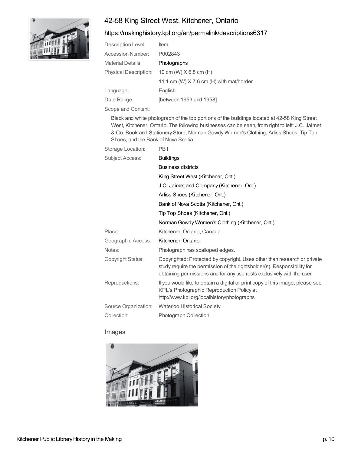# 42-58 King Street West, Kitchener, Ontario



#### <https://makinghistory.kpl.org/en/permalink/descriptions6317>

| Description Level:           | <b>Item</b>                              |
|------------------------------|------------------------------------------|
| Accession Number:            | P002843                                  |
| <b>Material Details:</b>     | Photographs                              |
| <b>Physical Description:</b> | 10 cm (W) $X$ 6.8 cm (H)                 |
|                              | 11.1 cm (W) X 7.6 cm (H) with mat/border |
| Language:                    | English                                  |
| Date Range:                  | [between 1953 and 1958]                  |

Scope and Content:

Black and white photograph of the top portions of the buildings located at 42-58 King Street West, Kitchener, Ontario. The following businesses can be seen, from right to left: J.C. Jaimet & Co. Book and Stationery Store, NormanGowdy Women's Clothing, Arliss Shoes, Tip Top Shoes, and the Bank of Nova Scotia.

| Storage Location:      | PB <sub>1</sub>                                                                                                                                                                                                              |
|------------------------|------------------------------------------------------------------------------------------------------------------------------------------------------------------------------------------------------------------------------|
| <b>Subject Access:</b> | <b>Buildings</b>                                                                                                                                                                                                             |
|                        | <b>Business districts</b>                                                                                                                                                                                                    |
|                        | King Street West (Kitchener, Ont.)                                                                                                                                                                                           |
|                        | J.C. Jaimet and Company (Kitchener, Ont.)                                                                                                                                                                                    |
|                        | Arliss Shoes (Kitchener, Ont.)                                                                                                                                                                                               |
|                        | Bank of Nova Scotia (Kitchener, Ont.)                                                                                                                                                                                        |
|                        | Tip Top Shoes (Kitchener, Ont.)                                                                                                                                                                                              |
|                        | Norman Gowdy Women's Clothing (Kitchener, Ont.)                                                                                                                                                                              |
| Place:                 | Kitchener, Ontario, Canada                                                                                                                                                                                                   |
| Geographic Access:     | Kitchener, Ontario                                                                                                                                                                                                           |
| Notes:                 | Photograph has scalloped edges.                                                                                                                                                                                              |
| Copyright Status:      | Copyrighted: Protected by copyright. Uses other than research or private<br>study require the permission of the rightsholder(s). Responsibility for<br>obtaining permissions and for any use rests exclusively with the user |
| Reproductions:         | If you would like to obtain a digital or print copy of this image, please see<br>KPL's Photographic Reproduction Policy at<br>http://www.kpl.org/localhistory/photographs                                                    |
| Source Organization:   | <b>Waterloo Historical Society</b>                                                                                                                                                                                           |
| Collection:            | <b>Photograph Collection</b>                                                                                                                                                                                                 |
|                        |                                                                                                                                                                                                                              |

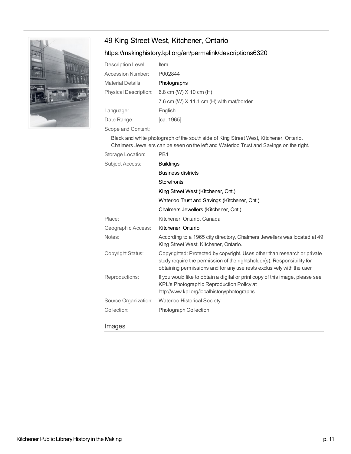# 49 King Street West, Kitchener, Ontario



#### <https://makinghistory.kpl.org/en/permalink/descriptions6320>

| Description Level:           | <b>Item</b>                              |
|------------------------------|------------------------------------------|
| Accession Number:            | P002844                                  |
| Material Details:            | Photographs                              |
| <b>Physical Description:</b> | 6.8 cm (W) $X$ 10 cm (H)                 |
|                              | 7.6 cm (W) X 11.1 cm (H) with mat/border |
| Language:                    | English                                  |
| Date Range:                  | [ca. 1965]                               |
| Scope and Content:           |                                          |

Black and white photograph of the south side of King Street West, Kitchener, Ontario. Chalmers Jewellers can be seen on the left and Waterloo Trust and Savings on the right.

| PB1                                                                                                                                                                                                                          |
|------------------------------------------------------------------------------------------------------------------------------------------------------------------------------------------------------------------------------|
| <b>Buildings</b>                                                                                                                                                                                                             |
| <b>Business districts</b>                                                                                                                                                                                                    |
| <b>Storefronts</b>                                                                                                                                                                                                           |
| King Street West (Kitchener, Ont.)                                                                                                                                                                                           |
| Waterloo Trust and Savings (Kitchener, Ont.)                                                                                                                                                                                 |
| Chalmers Jewellers (Kitchener, Ont.)                                                                                                                                                                                         |
| Kitchener, Ontario, Canada                                                                                                                                                                                                   |
| Kitchener, Ontario                                                                                                                                                                                                           |
| According to a 1965 city directory, Chalmers Jewellers was located at 49<br>King Street West, Kitchener, Ontario.                                                                                                            |
| Copyrighted: Protected by copyright. Uses other than research or private<br>study require the permission of the rightsholder(s). Responsibility for<br>obtaining permissions and for any use rests exclusively with the user |
| If you would like to obtain a digital or print copy of this image, please see<br>KPL's Photographic Reproduction Policy at<br>http://www.kpl.org/localhistory/photographs                                                    |
| <b>Waterloo Historical Society</b>                                                                                                                                                                                           |
| <b>Photograph Collection</b>                                                                                                                                                                                                 |
|                                                                                                                                                                                                                              |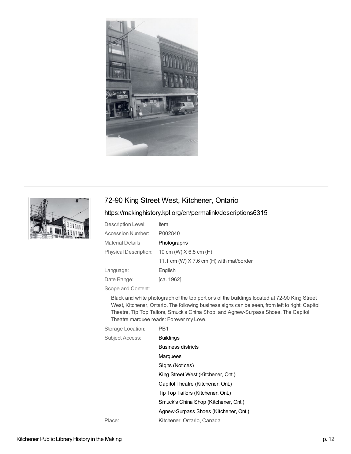



# 72-90 King Street West, Kitchener, Ontario

# <https://makinghistory.kpl.org/en/permalink/descriptions6315>

| Description Level:           | <b>Item</b>                                |
|------------------------------|--------------------------------------------|
| <b>Accession Number:</b>     | P002840                                    |
| <b>Material Details:</b>     | Photographs                                |
| <b>Physical Description:</b> | 10 cm (W) $X$ 6.8 cm (H)                   |
|                              | 11.1 cm (W) $X$ 7.6 cm (H) with mat/border |
| Language:                    | English                                    |
| Date Range:                  | [ca. 1962]                                 |

Scope and Content:

Black and white photograph of the top portions of the buildings located at 72-90 King Street West, Kitchener, Ontario. The following business signs can be seen, from left to right: Capitol Theatre, Tip Top Tailors, Smuck's China Shop, and Agnew-Surpass Shoes. The Capitol Theatre marquee reads: Forever my Love.

| Storage Location:      | PB <sub>1</sub>                       |
|------------------------|---------------------------------------|
| <b>Subject Access:</b> | <b>Buildings</b>                      |
|                        | <b>Business districts</b>             |
|                        | Marquees                              |
|                        | Signs (Notices)                       |
|                        | King Street West (Kitchener, Ont.)    |
|                        | Capitol Theatre (Kitchener, Ont.)     |
|                        | Tip Top Tailors (Kitchener, Ont.)     |
|                        | Smuck's China Shop (Kitchener, Ont.)  |
|                        | Agnew-Surpass Shoes (Kitchener, Ont.) |
| Place:                 | Kitchener, Ontario, Canada            |

Kitchener Public Library History in the Making p. 12